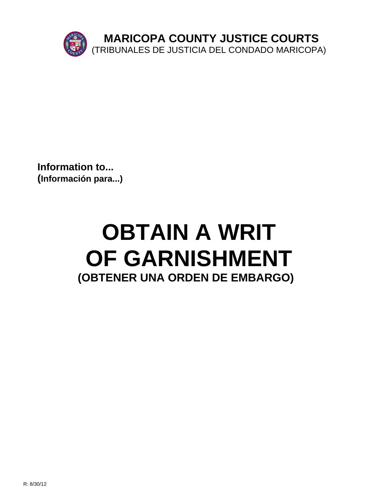

**Information to... (Información para...)**

# **OBTAIN A WRIT OF GARNISHMENT (OBTENER UNA ORDEN DE EMBARGO)**